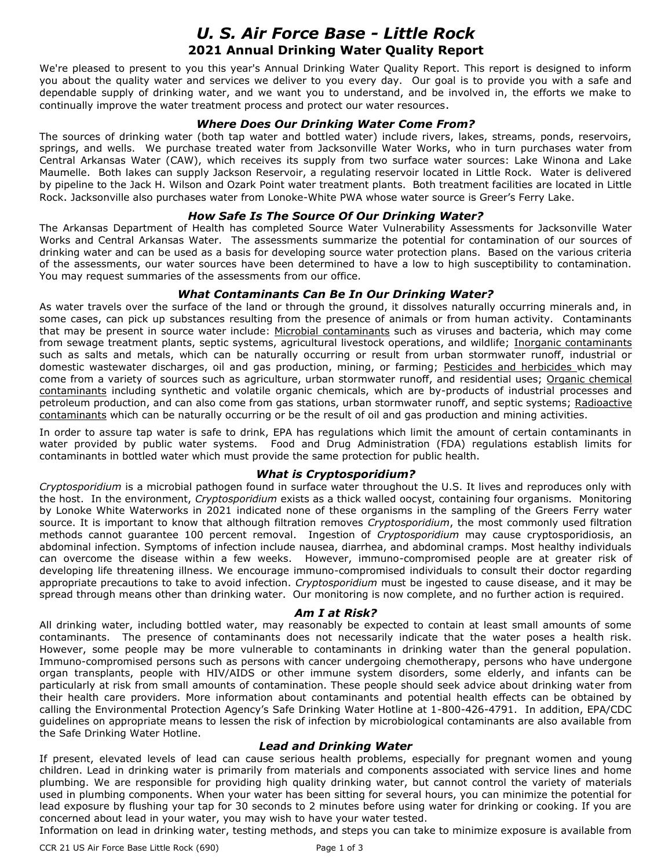# *U. S. Air Force Base - Little Rock* **2021 Annual Drinking Water Quality Report**

We're pleased to present to you this year's Annual Drinking Water Quality Report. This report is designed to inform you about the quality water and services we deliver to you every day. Our goal is to provide you with a safe and dependable supply of drinking water, and we want you to understand, and be involved in, the efforts we make to continually improve the water treatment process and protect our water resources.

# *Where Does Our Drinking Water Come From?*

The sources of drinking water (both tap water and bottled water) include rivers, lakes, streams, ponds, reservoirs, springs, and wells. We purchase treated water from Jacksonville Water Works, who in turn purchases water from Central Arkansas Water (CAW), which receives its supply from two surface water sources: Lake Winona and Lake Maumelle. Both lakes can supply Jackson Reservoir, a regulating reservoir located in Little Rock. Water is delivered by pipeline to the Jack H. Wilson and Ozark Point water treatment plants. Both treatment facilities are located in Little Rock. Jacksonville also purchases water from Lonoke-White PWA whose water source is Greer's Ferry Lake.

# *How Safe Is The Source Of Our Drinking Water?*

The Arkansas Department of Health has completed Source Water Vulnerability Assessments for Jacksonville Water Works and Central Arkansas Water. The assessments summarize the potential for contamination of our sources of drinking water and can be used as a basis for developing source water protection plans. Based on the various criteria of the assessments, our water sources have been determined to have a low to high susceptibility to contamination. You may request summaries of the assessments from our office.

# *What Contaminants Can Be In Our Drinking Water?*

As water travels over the surface of the land or through the ground, it dissolves naturally occurring minerals and, in some cases, can pick up substances resulting from the presence of animals or from human activity. Contaminants that may be present in source water include: Microbial contaminants such as viruses and bacteria, which may come from sewage treatment plants, septic systems, agricultural livestock operations, and wildlife; Inorganic contaminants such as salts and metals, which can be naturally occurring or result from urban stormwater runoff, industrial or domestic wastewater discharges, oil and gas production, mining, or farming; Pesticides and herbicides which may come from a variety of sources such as agriculture, urban stormwater runoff, and residential uses; Organic chemical contaminants including synthetic and volatile organic chemicals, which are by-products of industrial processes and petroleum production, and can also come from gas stations, urban stormwater runoff, and septic systems; Radioactive contaminants which can be naturally occurring or be the result of oil and gas production and mining activities.

In order to assure tap water is safe to drink, EPA has regulations which limit the amount of certain contaminants in water provided by public water systems. Food and Drug Administration (FDA) regulations establish limits for contaminants in bottled water which must provide the same protection for public health.

#### *What is Cryptosporidium?*

*Cryptosporidium* is a microbial pathogen found in surface water throughout the U.S. It lives and reproduces only with the host. In the environment, *Cryptosporidium* exists as a thick walled oocyst, containing four organisms. Monitoring by Lonoke White Waterworks in 2021 indicated none of these organisms in the sampling of the Greers Ferry water source. It is important to know that although filtration removes *Cryptosporidium*, the most commonly used filtration methods cannot guarantee 100 percent removal. Ingestion of *Cryptosporidium* may cause cryptosporidiosis, an abdominal infection. Symptoms of infection include nausea, diarrhea, and abdominal cramps. Most healthy individuals can overcome the disease within a few weeks. However, immuno-compromised people are at greater risk of developing life threatening illness. We encourage immuno-compromised individuals to consult their doctor regarding appropriate precautions to take to avoid infection. *Cryptosporidium* must be ingested to cause disease, and it may be spread through means other than drinking water. Our monitoring is now complete, and no further action is required.

#### *Am I at Risk?*

All drinking water, including bottled water, may reasonably be expected to contain at least small amounts of some contaminants. The presence of contaminants does not necessarily indicate that the water poses a health risk. However, some people may be more vulnerable to contaminants in drinking water than the general population. Immuno-compromised persons such as persons with cancer undergoing chemotherapy, persons who have undergone organ transplants, people with HIV/AIDS or other immune system disorders, some elderly, and infants can be particularly at risk from small amounts of contamination. These people should seek advice about drinking water from their health care providers. More information about contaminants and potential health effects can be obtained by calling the Environmental Protection Agency's Safe Drinking Water Hotline at 1-800-426-4791. In addition, EPA/CDC guidelines on appropriate means to lessen the risk of infection by microbiological contaminants are also available from the Safe Drinking Water Hotline.

#### *Lead and Drinking Water*

If present, elevated levels of lead can cause serious health problems, especially for pregnant women and young children. Lead in drinking water is primarily from materials and components associated with service lines and home plumbing. We are responsible for providing high quality drinking water, but cannot control the variety of materials used in plumbing components. When your water has been sitting for several hours, you can minimize the potential for lead exposure by flushing your tap for 30 seconds to 2 minutes before using water for drinking or cooking. If you are concerned about lead in your water, you may wish to have your water tested. Information on lead in drinking water, testing methods, and steps you can take to minimize exposure is available from

CCR 21 US Air Force Base Little Rock (690) Page 1 of 3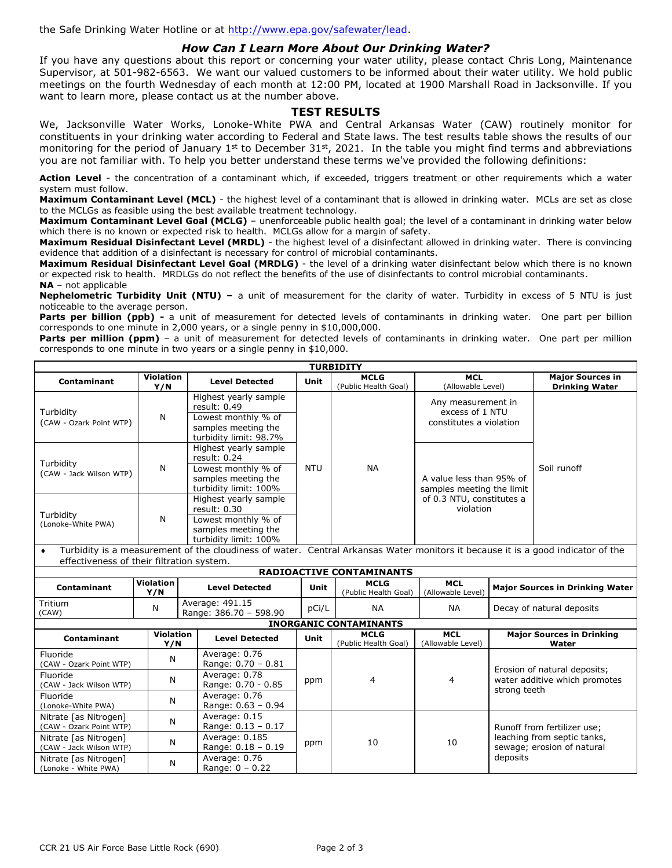the Safe Drinking Water Hotline or at [http://www.epa.gov/safewater/lead.](http://www.epa.gov/safewater/lead)

# *How Can I Learn More About Our Drinking Water?*

If you have any questions about this report or concerning your water utility, please contact Chris Long, Maintenance Supervisor, at 501-982-6563. We want our valued customers to be informed about their water utility. We hold public meetings on the fourth Wednesday of each month at 12:00 PM, located at 1900 Marshall Road in Jacksonville. If you want to learn more, please contact us at the number above.

#### **TEST RESULTS**

We, Jacksonville Water Works, Lonoke-White PWA and Central Arkansas Water (CAW) routinely monitor for constituents in your drinking water according to Federal and State laws. The test results table shows the results of our monitoring for the period of January  $1^{st}$  to December  $31^{st}$ , 2021. In the table you might find terms and abbreviations you are not familiar with. To help you better understand these terms we've provided the following definitions:

Action Level - the concentration of a contaminant which, if exceeded, triggers treatment or other requirements which a water system must follow.

**Maximum Contaminant Level (MCL)** - the highest level of a contaminant that is allowed in drinking water. MCLs are set as close to the MCLGs as feasible using the best available treatment technology.

**Maximum Contaminant Level Goal (MCLG)** – unenforceable public health goal; the level of a contaminant in drinking water below which there is no known or expected risk to health. MCLGs allow for a margin of safety.

**Maximum Residual Disinfectant Level (MRDL)** - the highest level of a disinfectant allowed in drinking water. There is convincing evidence that addition of a disinfectant is necessary for control of microbial contaminants.

**Maximum Residual Disinfectant Level Goal (MRDLG)** - the level of a drinking water disinfectant below which there is no known or expected risk to health. MRDLGs do not reflect the benefits of the use of disinfectants to control microbial contaminants. **NA** – not applicable

**Nephelometric Turbidity Unit (NTU) –** a unit of measurement for the clarity of water. Turbidity in excess of 5 NTU is just noticeable to the average person.

Parts per billion (ppb) - a unit of measurement for detected levels of contaminants in drinking water. One part per billion corresponds to one minute in 2,000 years, or a single penny in \$10,000,000.

Parts per million (ppm) - a unit of measurement for detected levels of contaminants in drinking water. One part per million corresponds to one minute in two years or a single penny in \$10,000.

| <b>TURBIDITY</b>                                                                                                                                                             |                                                                                                                                                                            |                                                                                                                 |            |                                     |                                                                  |  |                                                  |  |  |
|------------------------------------------------------------------------------------------------------------------------------------------------------------------------------|----------------------------------------------------------------------------------------------------------------------------------------------------------------------------|-----------------------------------------------------------------------------------------------------------------|------------|-------------------------------------|------------------------------------------------------------------|--|--------------------------------------------------|--|--|
| Contaminant                                                                                                                                                                  | <b>Violation</b><br>Y/N                                                                                                                                                    | <b>Level Detected</b>                                                                                           | Unit       | <b>MCLG</b><br>(Public Health Goal) | <b>MCL</b><br>(Allowable Level)                                  |  | <b>Major Sources in</b><br><b>Drinking Water</b> |  |  |
| Turbidity<br>(CAW - Ozark Point WTP)                                                                                                                                         | N                                                                                                                                                                          | Highest yearly sample<br>result: $0.49$<br>Lowest monthly % of<br>samples meeting the<br>turbidity limit: 98.7% |            |                                     | Any measurement in<br>excess of 1 NTU<br>constitutes a violation |  |                                                  |  |  |
| Turbidity<br>(CAW - Jack Wilson WTP)                                                                                                                                         | N                                                                                                                                                                          | Highest yearly sample<br>result: 0.24<br>Lowest monthly % of<br>samples meeting the<br>turbidity limit: 100%    | <b>NTU</b> | <b>NA</b>                           | A value less than 95% of<br>samples meeting the limit            |  | Soil runoff                                      |  |  |
| Turbidity<br>(Lonoke-White PWA)                                                                                                                                              | N                                                                                                                                                                          | Highest yearly sample<br>result: $0.30$<br>Lowest monthly % of<br>samples meeting the<br>turbidity limit: 100%  |            |                                     | of 0.3 NTU, constitutes a<br>violation                           |  |                                                  |  |  |
| Turbidity is a measurement of the cloudiness of water. Central Arkansas Water monitors it because it is a good indicator of the<br>effectiveness of their filtration system. |                                                                                                                                                                            |                                                                                                                 |            |                                     |                                                                  |  |                                                  |  |  |
| <b>RADIOACTIVE CONTAMINANTS</b>                                                                                                                                              |                                                                                                                                                                            |                                                                                                                 |            |                                     |                                                                  |  |                                                  |  |  |
| Contaminant                                                                                                                                                                  | <b>Violation</b><br><b>MCLG</b><br><b>MCL</b><br><b>Level Detected</b><br>Major Sources in Drinking Water<br>Unit<br>(Dublin Health Ceal) (Allowable Loyal)<br><b>MINE</b> |                                                                                                                 |            |                                     |                                                                  |  |                                                  |  |  |

| <b>Contaminant</b>                               | Violation<br>Y/N        | <b>Level Detected</b> |                                           | Unit | <b>MCLG</b><br>(Public Health Goal) | <b>MCL</b><br>(Allowable Level) | <b>Major Sources in Drinking Water</b>                                                   |  |  |
|--------------------------------------------------|-------------------------|-----------------------|-------------------------------------------|------|-------------------------------------|---------------------------------|------------------------------------------------------------------------------------------|--|--|
| Tritium<br>(CAW)                                 | N                       |                       | Average: 491.15<br>Range: 386.70 - 598.90 |      | pCi/L<br><b>NA</b>                  | <b>NA</b>                       | Decay of natural deposits                                                                |  |  |
| <b>INORGANIC CONTAMINANTS</b>                    |                         |                       |                                           |      |                                     |                                 |                                                                                          |  |  |
| Contaminant                                      | <b>Violation</b><br>Y/N |                       | <b>Level Detected</b>                     | Unit | <b>MCLG</b><br>(Public Health Goal) | <b>MCL</b><br>(Allowable Level) | <b>Major Sources in Drinking</b><br>Water                                                |  |  |
| Fluoride<br>(CAW - Ozark Point WTP)              | N                       |                       | Average: 0.76<br>Range: $0.70 - 0.81$     |      | 4                                   | $\overline{4}$                  | Erosion of natural deposits;<br>water additive which promotes<br>strong teeth            |  |  |
| Fluoride<br>(CAW - Jack Wilson WTP)              | N                       |                       | Average: 0.78<br>Range: 0.70 - 0.85       | ppm  |                                     |                                 |                                                                                          |  |  |
| Fluoride<br>(Lonoke-White PWA)                   | N                       |                       | Average: 0.76<br>Range: $0.63 - 0.94$     |      |                                     |                                 |                                                                                          |  |  |
| Nitrate [as Nitrogen]<br>(CAW - Ozark Point WTP) | N                       |                       | Average: 0.15<br>Range: $0.13 - 0.17$     |      | 10                                  | 10                              | Runoff from fertilizer use;<br>leaching from septic tanks,<br>sewage; erosion of natural |  |  |
| Nitrate [as Nitrogen]<br>(CAW - Jack Wilson WTP) | N                       |                       | Average: 0.185<br>Range: $0.18 - 0.19$    | ppm  |                                     |                                 |                                                                                          |  |  |
| Nitrate [as Nitrogen]<br>(Lonoke - White PWA)    | N                       |                       | Average: 0.76<br>Range: $0 - 0.22$        |      |                                     |                                 | deposits                                                                                 |  |  |